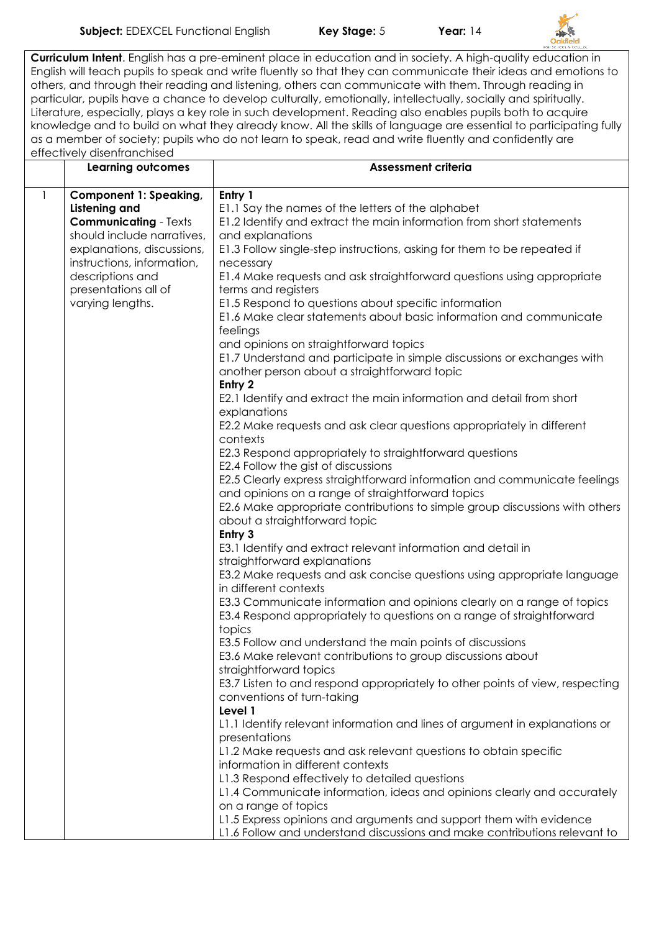

**Curriculum Intent**. English has a pre-eminent place in education and in society. A high-quality education in English will teach pupils to speak and write fluently so that they can communicate their ideas and emotions to others, and through their reading and listening, others can communicate with them. Through reading in particular, pupils have a chance to develop culturally, emotionally, intellectually, socially and spiritually. Literature, especially, plays a key role in such development. Reading also enables pupils both to acquire knowledge and to build on what they already know. All the skills of language are essential to participating fully as a member of society; pupils who do not learn to speak, read and write fluently and confidently are effectively disenfranchised

|              | <b>Learning outcomes</b>                                                              | <b>Assessment criteria</b>                                                                                                                                            |
|--------------|---------------------------------------------------------------------------------------|-----------------------------------------------------------------------------------------------------------------------------------------------------------------------|
| $\mathbf{1}$ | <b>Component 1: Speaking,</b><br><b>Listening and</b><br><b>Communicating - Texts</b> | Entry 1<br>E1.1 Say the names of the letters of the alphabet<br>E1.2 Identify and extract the main information from short statements                                  |
|              | should include narratives,<br>explanations, discussions,                              | and explanations<br>E1.3 Follow single-step instructions, asking for them to be repeated if                                                                           |
|              | instructions, information,                                                            | necessary                                                                                                                                                             |
|              | descriptions and<br>presentations all of                                              | E1.4 Make requests and ask straightforward questions using appropriate<br>terms and registers                                                                         |
|              | varying lengths.                                                                      | E1.5 Respond to questions about specific information<br>E1.6 Make clear statements about basic information and communicate<br>feelings                                |
|              |                                                                                       | and opinions on straightforward topics<br>E1.7 Understand and participate in simple discussions or exchanges with<br>another person about a straightforward topic     |
|              |                                                                                       | Entry 2<br>E2.1 Identify and extract the main information and detail from short<br>explanations                                                                       |
|              |                                                                                       | E2.2 Make requests and ask clear questions appropriately in different<br>contexts                                                                                     |
|              |                                                                                       | E2.3 Respond appropriately to straightforward questions<br>E2.4 Follow the gist of discussions                                                                        |
|              |                                                                                       | E2.5 Clearly express straightforward information and communicate feelings<br>and opinions on a range of straightforward topics                                        |
|              |                                                                                       | E2.6 Make appropriate contributions to simple group discussions with others<br>about a straightforward topic                                                          |
|              |                                                                                       | Entry 3<br>E3.1 Identify and extract relevant information and detail in<br>straightforward explanations                                                               |
|              |                                                                                       | E3.2 Make requests and ask concise questions using appropriate language<br>in different contexts                                                                      |
|              |                                                                                       | E3.3 Communicate information and opinions clearly on a range of topics<br>E3.4 Respond appropriately to questions on a range of straightforward                       |
|              |                                                                                       | topics<br>E3.5 Follow and understand the main points of discussions                                                                                                   |
|              |                                                                                       | E3.6 Make relevant contributions to group discussions about<br>straightforward topics<br>E3.7 Listen to and respond appropriately to other points of view, respecting |
|              |                                                                                       | conventions of turn-taking<br>Level 1                                                                                                                                 |
|              |                                                                                       | L1.1 Identify relevant information and lines of argument in explanations or<br>presentations                                                                          |
|              |                                                                                       | L1.2 Make requests and ask relevant questions to obtain specific<br>information in different contexts                                                                 |
|              |                                                                                       | L1.3 Respond effectively to detailed questions<br>L1.4 Communicate information, ideas and opinions clearly and accurately                                             |
|              |                                                                                       | on a range of topics<br>L1.5 Express opinions and arguments and support them with evidence                                                                            |
|              |                                                                                       | L1.6 Follow and understand discussions and make contributions relevant to                                                                                             |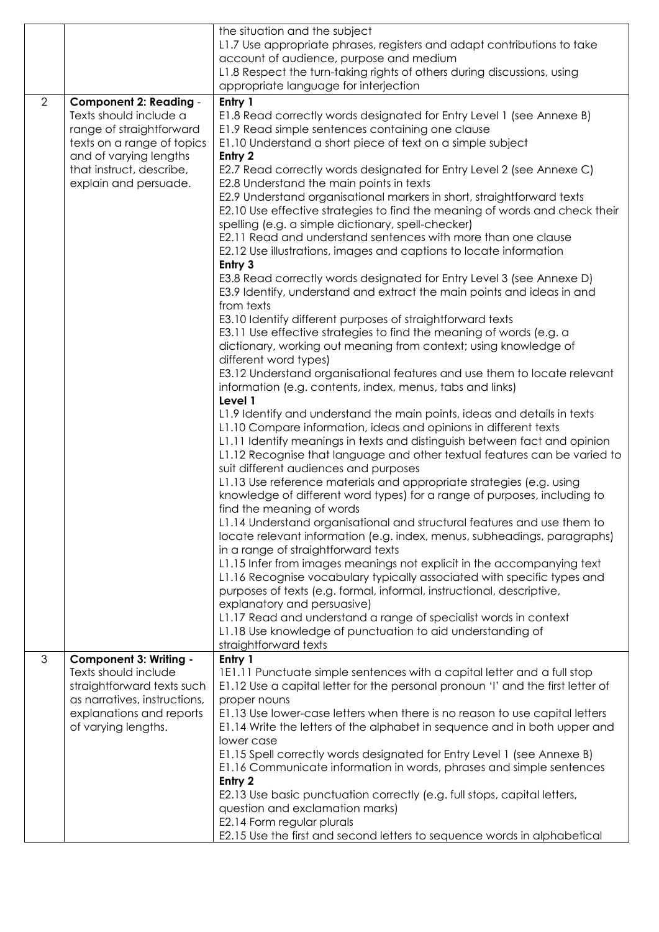|   |                                                   | the situation and the subject                                                                                                                       |
|---|---------------------------------------------------|-----------------------------------------------------------------------------------------------------------------------------------------------------|
|   |                                                   | L1.7 Use appropriate phrases, registers and adapt contributions to take                                                                             |
|   |                                                   | account of audience, purpose and medium                                                                                                             |
|   |                                                   | L1.8 Respect the turn-taking rights of others during discussions, using                                                                             |
|   |                                                   | appropriate language for interjection                                                                                                               |
| 2 | <b>Component 2: Reading -</b>                     | Entry 1                                                                                                                                             |
|   | Texts should include a                            | E1.8 Read correctly words designated for Entry Level 1 (see Annexe B)                                                                               |
|   | range of straightforward                          | E1.9 Read simple sentences containing one clause                                                                                                    |
|   | texts on a range of topics                        | E1.10 Understand a short piece of text on a simple subject                                                                                          |
|   | and of varying lengths                            | Entry 2                                                                                                                                             |
|   | that instruct, describe,<br>explain and persuade. | E2.7 Read correctly words designated for Entry Level 2 (see Annexe C)<br>E2.8 Understand the main points in texts                                   |
|   |                                                   | E2.9 Understand organisational markers in short, straightforward texts                                                                              |
|   |                                                   | E2.10 Use effective strategies to find the meaning of words and check their                                                                         |
|   |                                                   | spelling (e.g. a simple dictionary, spell-checker)                                                                                                  |
|   |                                                   | E2.11 Read and understand sentences with more than one clause                                                                                       |
|   |                                                   | E2.12 Use illustrations, images and captions to locate information<br>Entry 3                                                                       |
|   |                                                   | E3.8 Read correctly words designated for Entry Level 3 (see Annexe D)                                                                               |
|   |                                                   | E3.9 Identify, understand and extract the main points and ideas in and                                                                              |
|   |                                                   | from texts                                                                                                                                          |
|   |                                                   | E3.10 Identify different purposes of straightforward texts                                                                                          |
|   |                                                   | E3.11 Use effective strategies to find the meaning of words (e.g. a                                                                                 |
|   |                                                   | dictionary, working out meaning from context; using knowledge of                                                                                    |
|   |                                                   | different word types)                                                                                                                               |
|   |                                                   | E3.12 Understand organisational features and use them to locate relevant                                                                            |
|   |                                                   | information (e.g. contents, index, menus, tabs and links)<br>Level 1                                                                                |
|   |                                                   | L1.9 Identify and understand the main points, ideas and details in texts                                                                            |
|   |                                                   | L1.10 Compare information, ideas and opinions in different texts                                                                                    |
|   |                                                   | L1.11 Identify meanings in texts and distinguish between fact and opinion                                                                           |
|   |                                                   | L1.12 Recognise that language and other textual features can be varied to                                                                           |
|   |                                                   | suit different audiences and purposes                                                                                                               |
|   |                                                   | L1.13 Use reference materials and appropriate strategies (e.g. using                                                                                |
|   |                                                   | knowledge of different word types) for a range of purposes, including to                                                                            |
|   |                                                   | find the meaning of words                                                                                                                           |
|   |                                                   | L1.14 Understand organisational and structural features and use them to<br>locate relevant information (e.g. index, menus, subheadings, paragraphs) |
|   |                                                   | in a range of straightforward texts                                                                                                                 |
|   |                                                   | L1.15 Infer from images meanings not explicit in the accompanying text                                                                              |
|   |                                                   | L1.16 Recognise vocabulary typically associated with specific types and                                                                             |
|   |                                                   | purposes of texts (e.g. formal, informal, instructional, descriptive,                                                                               |
|   |                                                   | explanatory and persuasive)                                                                                                                         |
|   |                                                   | L1.17 Read and understand a range of specialist words in context                                                                                    |
|   |                                                   | L1.18 Use knowledge of punctuation to aid understanding of<br>straightforward texts                                                                 |
| 3 | <b>Component 3: Writing -</b>                     | Entry 1                                                                                                                                             |
|   | Texts should include                              | 1E1.11 Punctuate simple sentences with a capital letter and a full stop                                                                             |
|   | straightforward texts such                        | E1.12 Use a capital letter for the personal pronoun 'I' and the first letter of                                                                     |
|   | as narratives, instructions,                      | proper nouns                                                                                                                                        |
|   | explanations and reports                          | E1.13 Use lower-case letters when there is no reason to use capital letters                                                                         |
|   | of varying lengths.                               | E1.14 Write the letters of the alphabet in sequence and in both upper and                                                                           |
|   |                                                   | lower case                                                                                                                                          |
|   |                                                   | E1.15 Spell correctly words designated for Entry Level 1 (see Annexe B)                                                                             |
|   |                                                   | E1.16 Communicate information in words, phrases and simple sentences                                                                                |
|   |                                                   | Entry 2<br>E2.13 Use basic punctuation correctly (e.g. full stops, capital letters,                                                                 |
|   |                                                   | question and exclamation marks)                                                                                                                     |
|   |                                                   | E2.14 Form regular plurals                                                                                                                          |
|   |                                                   | E2.15 Use the first and second letters to sequence words in alphabetical                                                                            |